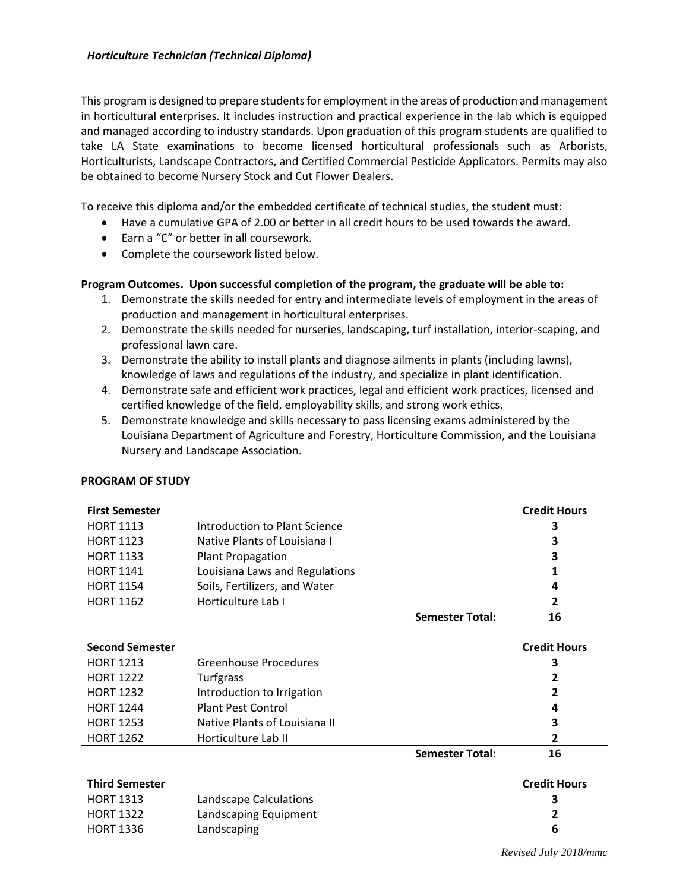This program is designed to prepare students for employment in the areas of production and management in horticultural enterprises. It includes instruction and practical experience in the lab which is equipped and managed according to industry standards. Upon graduation of this program students are qualified to take LA State examinations to become licensed horticultural professionals such as Arborists, Horticulturists, Landscape Contractors, and Certified Commercial Pesticide Applicators. Permits may also be obtained to become Nursery Stock and Cut Flower Dealers.

To receive this diploma and/or the embedded certificate of technical studies, the student must:

- Have a cumulative GPA of 2.00 or better in all credit hours to be used towards the award.
- Earn a "C" or better in all coursework.
- Complete the coursework listed below.

## **Program Outcomes. Upon successful completion of the program, the graduate will be able to:**

- 1. Demonstrate the skills needed for entry and intermediate levels of employment in the areas of production and management in horticultural enterprises.
- 2. Demonstrate the skills needed for nurseries, landscaping, turf installation, interior-scaping, and professional lawn care.
- 3. Demonstrate the ability to install plants and diagnose ailments in plants (including lawns), knowledge of laws and regulations of the industry, and specialize in plant identification.
- 4. Demonstrate safe and efficient work practices, legal and efficient work practices, licensed and certified knowledge of the field, employability skills, and strong work ethics.
- 5. Demonstrate knowledge and skills necessary to pass licensing exams administered by the Louisiana Department of Agriculture and Forestry, Horticulture Commission, and the Louisiana Nursery and Landscape Association.

## **PROGRAM OF STUDY**

| <b>First Semester</b>  |                                |                        | <b>Credit Hours</b> |
|------------------------|--------------------------------|------------------------|---------------------|
| <b>HORT 1113</b>       | Introduction to Plant Science  |                        | З                   |
| <b>HORT 1123</b>       | Native Plants of Louisiana I   |                        | 3                   |
| <b>HORT 1133</b>       | <b>Plant Propagation</b>       |                        | 3                   |
| <b>HORT 1141</b>       | Louisiana Laws and Regulations |                        |                     |
| <b>HORT 1154</b>       | Soils, Fertilizers, and Water  |                        | 4                   |
| <b>HORT 1162</b>       | Horticulture Lab I             |                        | 2                   |
|                        |                                | <b>Semester Total:</b> | 16                  |
| <b>Second Semester</b> |                                |                        | <b>Credit Hours</b> |
| <b>HORT 1213</b>       | Greenhouse Procedures          |                        | З                   |
| <b>HORT 1222</b>       | Turfgrass                      |                        | 2                   |
| <b>HORT 1232</b>       | Introduction to Irrigation     |                        | 2                   |
| <b>HORT 1244</b>       | <b>Plant Pest Control</b>      |                        | 4                   |
| <b>HORT 1253</b>       | Native Plants of Louisiana II  |                        | 3                   |
| <b>HORT 1262</b>       | Horticulture Lab II            |                        | 2                   |
|                        |                                | <b>Semester Total:</b> | 16                  |
| <b>Third Semester</b>  |                                |                        | <b>Credit Hours</b> |
| <b>HORT 1313</b>       | Landscape Calculations         |                        | 3                   |
| <b>HORT 1322</b>       | Landscaping Equipment          |                        | 2                   |
| <b>HORT 1336</b>       | Landscaping                    |                        | 6                   |